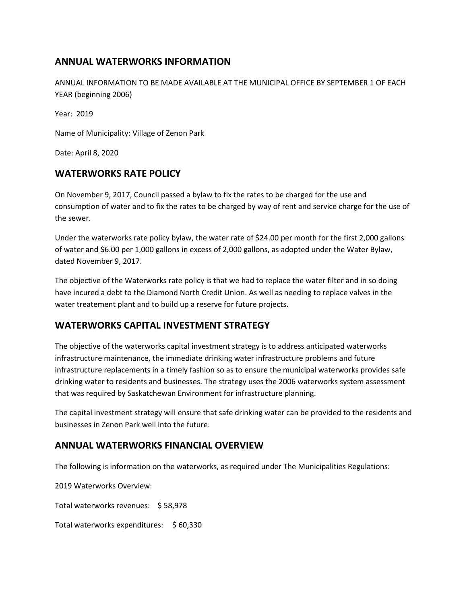# **ANNUAL WATERWORKS INFORMATION**

ANNUAL INFORMATION TO BE MADE AVAILABLE AT THE MUNICIPAL OFFICE BY SEPTEMBER 1 OF EACH YEAR (beginning 2006)

Year: 2019

Name of Municipality: Village of Zenon Park

Date: April 8, 2020

## **WATERWORKS RATE POLICY**

On November 9, 2017, Council passed a bylaw to fix the rates to be charged for the use and consumption of water and to fix the rates to be charged by way of rent and service charge for the use of the sewer.

Under the waterworks rate policy bylaw, the water rate of \$24.00 per month for the first 2,000 gallons of water and \$6.00 per 1,000 gallons in excess of 2,000 gallons, as adopted under the Water Bylaw, dated November 9, 2017.

The objective of the Waterworks rate policy is that we had to replace the water filter and in so doing have incured a debt to the Diamond North Credit Union. As well as needing to replace valves in the water treatement plant and to build up a reserve for future projects.

### **WATERWORKS CAPITAL INVESTMENT STRATEGY**

The objective of the waterworks capital investment strategy is to address anticipated waterworks infrastructure maintenance, the immediate drinking water infrastructure problems and future infrastructure replacements in a timely fashion so as to ensure the municipal waterworks provides safe drinking water to residents and businesses. The strategy uses the 2006 waterworks system assessment that was required by Saskatchewan Environment for infrastructure planning.

The capital investment strategy will ensure that safe drinking water can be provided to the residents and businesses in Zenon Park well into the future.

### **ANNUAL WATERWORKS FINANCIAL OVERVIEW**

The following is information on the waterworks, as required under The Municipalities Regulations:

2019 Waterworks Overview:

Total waterworks revenues: \$ 58,978

Total waterworks expenditures: \$ 60,330